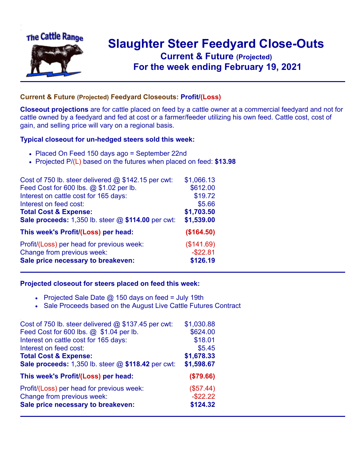

## **Slaughter Steer Feedyard Close-Outs Current & Future (Projected)** .**For the week ending February 19, 2021**

## **Current & Future (Projected) Feedyard Closeouts: Profit/(Loss)**

**Closeout projections** are for cattle placed on feed by a cattle owner at a commercial feedyard and not for cattle owned by a feedyard and fed at cost or a farmer/feeder utilizing his own feed. Cattle cost, cost of gain, and selling price will vary on a regional basis.

## **Typical closeout for un-hedged steers sold this week:**

- Placed On Feed 150 days ago = September 22nd
- Projected P/(L) based on the futures when placed on feed: **\$13.98**

| Cost of 750 lb. steer delivered $@$ \$142.15 per cwt: | \$1,066.13  |
|-------------------------------------------------------|-------------|
| Feed Cost for 600 lbs. @ \$1.02 per lb.               | \$612.00    |
| Interest on cattle cost for 165 days:                 | \$19.72     |
| Interest on feed cost:                                | \$5.66      |
| <b>Total Cost &amp; Expense:</b>                      | \$1,703.50  |
| Sale proceeds: 1,350 lb. steer @ \$114.00 per cwt:    | \$1,539.00  |
| This week's Profit/(Loss) per head:                   | (\$164.50)  |
| Profit/(Loss) per head for previous week:             | (\$141.69)  |
| Change from previous week:                            | $-$ \$22.81 |
| Sale price necessary to breakeven:                    | \$126.19    |

## **Projected closeout for steers placed on feed this week:**

- Projected Sale Date  $@$  150 days on feed = July 19th
- Sale Proceeds based on the August Live Cattle Futures Contract

| Cost of 750 lb. steer delivered $@$ \$137.45 per cwt: | \$1,030.88  |
|-------------------------------------------------------|-------------|
| Feed Cost for 600 lbs. @ \$1.04 per lb.               | \$624.00    |
| Interest on cattle cost for 165 days:                 | \$18.01     |
| Interest on feed cost:                                | \$5.45      |
| <b>Total Cost &amp; Expense:</b>                      | \$1,678.33  |
| Sale proceeds: 1,350 lb. steer @ \$118.42 per cwt:    | \$1,598.67  |
| This week's Profit/(Loss) per head:                   | (\$79.66)   |
| Profit/(Loss) per head for previous week:             | (\$57.44)   |
| Change from previous week:                            | $-$ \$22.22 |
| Sale price necessary to breakeven:                    | \$124.32    |